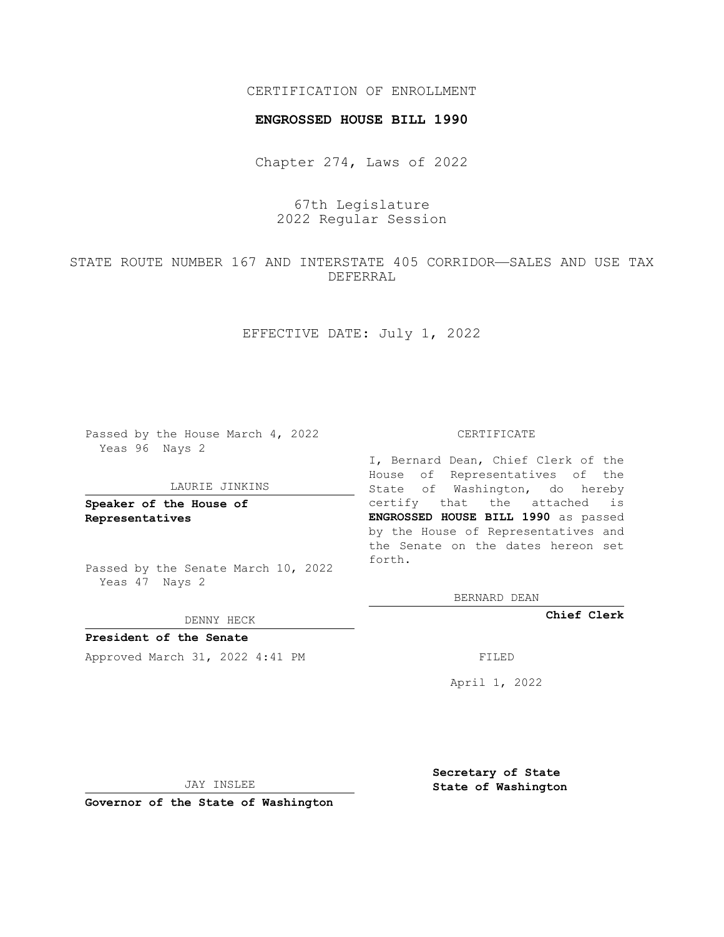# CERTIFICATION OF ENROLLMENT

### **ENGROSSED HOUSE BILL 1990**

Chapter 274, Laws of 2022

67th Legislature 2022 Regular Session

STATE ROUTE NUMBER 167 AND INTERSTATE 405 CORRIDOR—SALES AND USE TAX DEFERRAL

EFFECTIVE DATE: July 1, 2022

Passed by the House March 4, 2022 Yeas 96 Nays 2

#### LAURIE JINKINS

**Speaker of the House of Representatives**

Passed by the Senate March 10, 2022 Yeas 47 Nays 2

DENNY HECK

**President of the Senate** Approved March 31, 2022 4:41 PM FILED

#### CERTIFICATE

I, Bernard Dean, Chief Clerk of the House of Representatives of the State of Washington, do hereby certify that the attached is **ENGROSSED HOUSE BILL 1990** as passed by the House of Representatives and the Senate on the dates hereon set forth.

BERNARD DEAN

**Chief Clerk**

April 1, 2022

JAY INSLEE

**Governor of the State of Washington**

**Secretary of State State of Washington**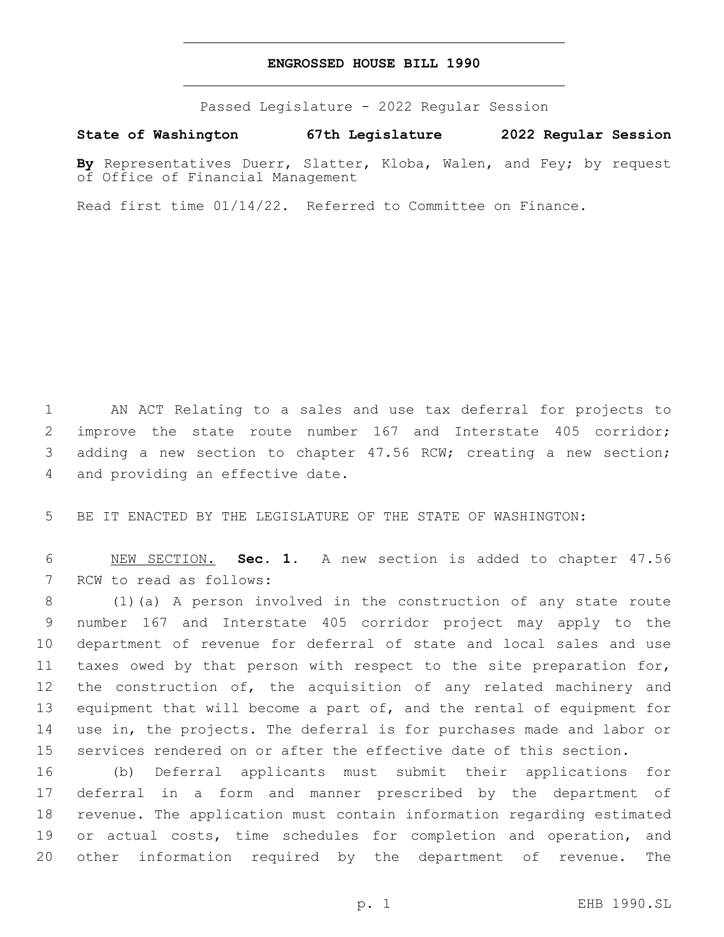## **ENGROSSED HOUSE BILL 1990**

Passed Legislature - 2022 Regular Session

**State of Washington 67th Legislature 2022 Regular Session**

**By** Representatives Duerr, Slatter, Kloba, Walen, and Fey; by request of Office of Financial Management

Read first time 01/14/22. Referred to Committee on Finance.

1 AN ACT Relating to a sales and use tax deferral for projects to 2 improve the state route number 167 and Interstate 405 corridor; 3 adding a new section to chapter 47.56 RCW; creating a new section; 4 and providing an effective date.

5 BE IT ENACTED BY THE LEGISLATURE OF THE STATE OF WASHINGTON:

6 NEW SECTION. **Sec. 1.** A new section is added to chapter 47.56 7 RCW to read as follows:

 (1)(a) A person involved in the construction of any state route number 167 and Interstate 405 corridor project may apply to the department of revenue for deferral of state and local sales and use taxes owed by that person with respect to the site preparation for, 12 the construction of, the acquisition of any related machinery and 13 equipment that will become a part of, and the rental of equipment for use in, the projects. The deferral is for purchases made and labor or services rendered on or after the effective date of this section.

 (b) Deferral applicants must submit their applications for deferral in a form and manner prescribed by the department of revenue. The application must contain information regarding estimated 19 or actual costs, time schedules for completion and operation, and other information required by the department of revenue. The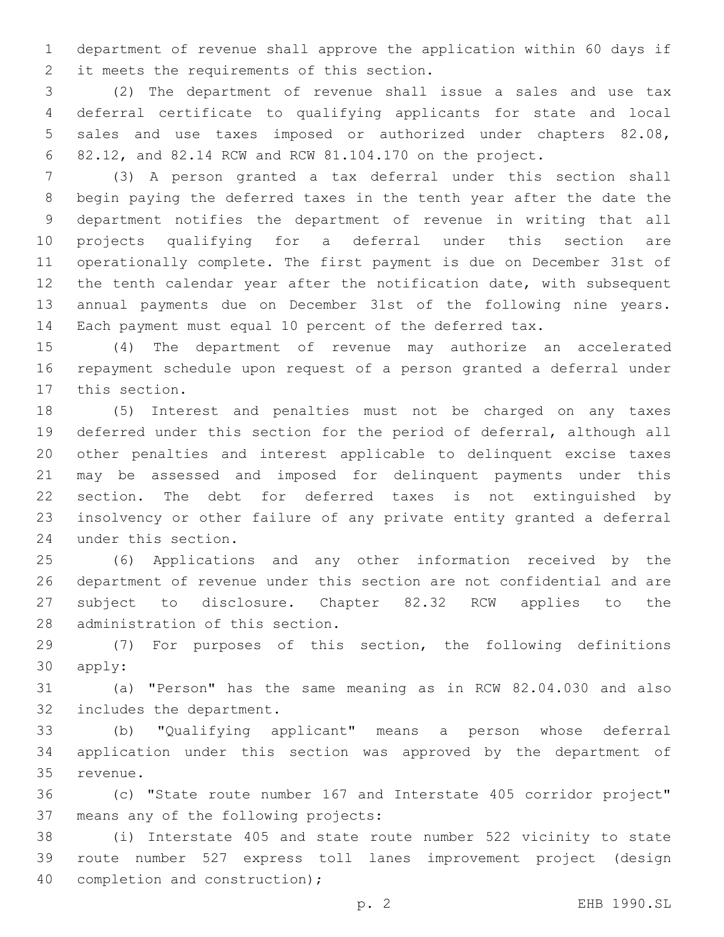department of revenue shall approve the application within 60 days if 2 it meets the requirements of this section.

 (2) The department of revenue shall issue a sales and use tax deferral certificate to qualifying applicants for state and local sales and use taxes imposed or authorized under chapters 82.08, 82.12, and 82.14 RCW and RCW 81.104.170 on the project.

 (3) A person granted a tax deferral under this section shall begin paying the deferred taxes in the tenth year after the date the department notifies the department of revenue in writing that all projects qualifying for a deferral under this section are operationally complete. The first payment is due on December 31st of 12 the tenth calendar year after the notification date, with subsequent annual payments due on December 31st of the following nine years. Each payment must equal 10 percent of the deferred tax.

 (4) The department of revenue may authorize an accelerated repayment schedule upon request of a person granted a deferral under 17 this section.

 (5) Interest and penalties must not be charged on any taxes deferred under this section for the period of deferral, although all other penalties and interest applicable to delinquent excise taxes may be assessed and imposed for delinquent payments under this section. The debt for deferred taxes is not extinguished by insolvency or other failure of any private entity granted a deferral 24 under this section.

 (6) Applications and any other information received by the department of revenue under this section are not confidential and are subject to disclosure. Chapter 82.32 RCW applies to the 28 administration of this section.

 (7) For purposes of this section, the following definitions 30 apply:

 (a) "Person" has the same meaning as in RCW 82.04.030 and also 32 includes the department.

 (b) "Qualifying applicant" means a person whose deferral application under this section was approved by the department of 35 revenue.

 (c) "State route number 167 and Interstate 405 corridor project" 37 means any of the following projects:

 (i) Interstate 405 and state route number 522 vicinity to state route number 527 express toll lanes improvement project (design 40 completion and construction);